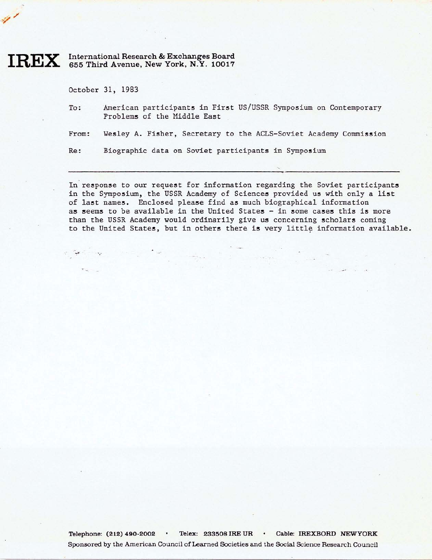## **IREX** International Research & Exchanges Board 655 Third Avenue, New York, **N.Y.** 10017

October 31, 1983

To: American participants in First US/USSR Symposium on Contemporary Problems of the Middle East

From : Wesley A. Fisher, Secretary to the ACLS-Soviet Academy Commission

Re : Biographic data on Soviet participants in Symposium

 $\mathcal{A}$  set  $\mathcal{A}$  . In the set of  $\mathcal{A}$ 

In response to our request for information regarding the Soviet participants in the Symposium, the USSR Academy of Sciences provided us with only a list of last names. Enclosed please find **as** much biographical information as seems to be available in the United States - in some cases this is more than the USSR Academy would ordinarily give us concerning scholars coming to the United States, but in others there is very little information available.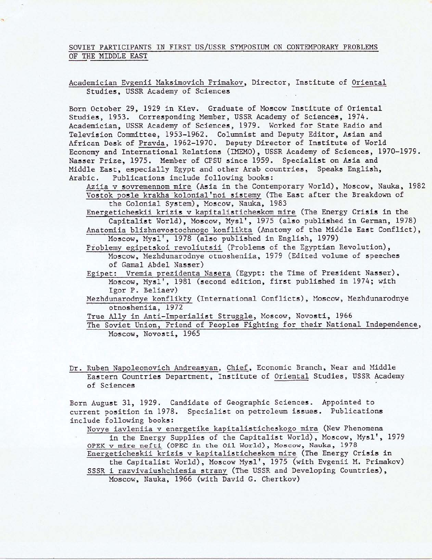## SOVIET PARTICIPANTS IN FIRST US/USSR SYMPOSIUM ON CONTEMPORARY PROBLEMS OF THE MIDDLE EAST

Academician Evgenii Maksimovich Primakov, Director, Institute of Oriental Studies, USSR Academy of Sciences

Born October 29, 1929 in Kiev. Graduate of Moscow Institute of Oriental Studies, 1953. Corresponding Member, USSR Academy of Sciences, 1974. Academician, USSR Academy of Sciences, 1979. Worked for State Radio and Television Committee, 1953-1962. Columnist and Deputy Editor, Asian and African Desk of Pravda, 1962-1970. Deputy Director of Institute of World Economy and International Relations (IMEMO), USSR Academy of Sciences, 1970-1979. Nasser Prize, 1975. Member of CPSU since 1959. Specialist on Asia and Middle East, especially Egypt and other Arab countries, Speaks English, Arabic, Publications include following books:

Aziia v sovremennom mire (Asia in the Contemporary World), Moscow, Nauka, 1982 Vostok posle krakha kolonial'noi sistemy (The East after the Breakdown of the Colonial System), Moscow, Nauka, 1983

Energeticheskii **krizis** v kapitalisticheskom mire (The Energy **Crisis** in the Capitalist World), Moscow, Mysl', 1975 (also published in German, 1978)

Anatomiia blizhnevostochnogo konflikta (Anatomy of the Middle East Conflict), Moscow, Mysl', 1978 (also published in English, 1979)

Problemy egipetskoi revoliutsii (Problems of the Egyptian Revolution), Moscow, Mezhdunarodnye otnosheniia, 1979 (Edited volume of speeches of Gamal Abdel Nasser)

Egipet: Vremia prezidenta Nasera (Egypt: the Time of President **Nasser),**  Moscow, **Mysl',** 1981 (second edition, first published in 1974; with Igor P. Beliaev)

Mezhdunarodnye konflikty (International Conflicts), Moscow, Mezhdunarodnye otnosheniia, 1972

True Ally in Anti-Imperialist Struggle, Moscow, Novosti, 1966

Dr. Ruben Napoleonovich Andreasyan, Chief, Economic Branch, Near and Middle Eastern Countries Department, Institute of Oriental Studies, USSR Academy of Sciences

Born August 31, 1929. Candidate of Geographic Sciences. Appointed to current position in 1978. Specialist on petroleum **issues.** Publications include following books:

Novye iavleniia v energetike kapitalisticheskogo mira (New Phenomena in the Energy Supplies of the Capitalist World), Moscow, Mysl', 1979

OPEK v mire nefti (OPEC in the Oil World), Moscow, Nauka, 1978 Energeticheskii krizis v kapitalisticheskom mire (The Energy **Crisis** in

the Capitalist World), Moscow **Mysl',** 1975 (with Evgenii M. Primakov) SSSR i razvivaiushchiesia strany (The USSR and Developing Countries), Moscow, Nauka, 1966 (with David G. Chertkov)

The Soviet Union, Friend of Peoples Fighting for their National Independence, Moscow, Novosti, 1965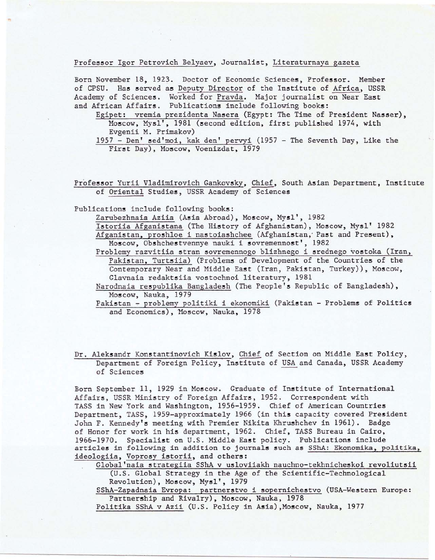## Professor Igor Petrovich Belyaev, Journalist, Literaturnaya gazeta

Born November 18, 1923. Doctor of Economic Sciences, Professor. Member of CPSU. Has served as Deputy Director of the Institute of Africa, USSR Academy of Sciences. Worked for Pravda. Major journalist on Near East and African Affairs. Publications include following books:

Egipet: vremia prezidenta Nasera (Egypt: The Time of President Nasser), Moscow, Mysl', 1981 (second edition, first published 1974, with Evgenii M. Primakov)

1957 - Den' sed'moi, kak den' pervyi (1957 - The Seventh Day, Like the First Day), Moscow, Voenizdat, 1979

Professor Yurii Vladimirovich Gankovsky, Chief, South Asian Department, Institute of Oriental Studies, USSR Academy of Sciences

Publications include following books:

Zarubezhnaia Aziia **(Asia** Abroad) , Moscow, **Mysl',** 1982

Istoriia Afganistana (The History of Afghani stan) , Moscow, **Mysl '** 1982 Afganistan, proshloe i nastoia shchee (Afghanistan, Past and Present), Moscow, Obshchestvennye nauki i sovremennost', 1982

Problemy razvitiia stran sovremennogo blizhnego i srednego vostoka (Iran, Pakistan, Turtsiia) (Problems of Development of the Countries of the Contemporary Near and Middle East (Iran, Pakistan, Turkey)), Moscow, Glavnaia redaktsiia vostochnoi literatury, 1981

Narodnaia respublika Bangladesh (The People's Republic of Bangladesh), Moscow, Nauka, 1979

Pakistan - problemy politiki i ekonomiki (Pakistan - Problems of Politics and Economics), Moscow, Nauka, 1978

Dr. Aleksandr Konstantinovich Kislov, Chief of Section on Middle East Policy, Department of Foreign Policy, Institute of USA and Canada, USSR Academy of Sciences

Born September 11, 1929 in Moscow. Graduate of Institute of International Affairs, USSR Ministry of Foreign Affairs, 1952. Correspondent with TASS in New York and Washington, 1956-1959. Chief of American Countries Department, TASS, 1959-approximately 1966 (in this capacity covered President John F. Kennedy's meeting with Premier Nikita Khrushchev in 1961). Badge of Honor for work in his department, 1962. Chief, TASS Bureau in Cairo, 1966-1970. Specialist on U.S. Middle East policy. Publications include articles in following in addition to journals such as SShA: Ekonomika, politika, ideologiia, Voprosy istorii, and others:

Global naia strategiia SShA v usloviiakh nauchno-tekhnicheskoi revoliutsii (U.S. Global Strategy in the Age of the Scientific-Technological Revolution), Moscow, Mysl', 1979 SShA-Zapadnaia Evropa: partnerstvo i sopernichestvo (USA-Western Europe: Partnership and Rivalry), Moscow, Nauka, 1978 Politika SShA v Azii (U.S. Policy in Asia), Moscow, Nauka, 1977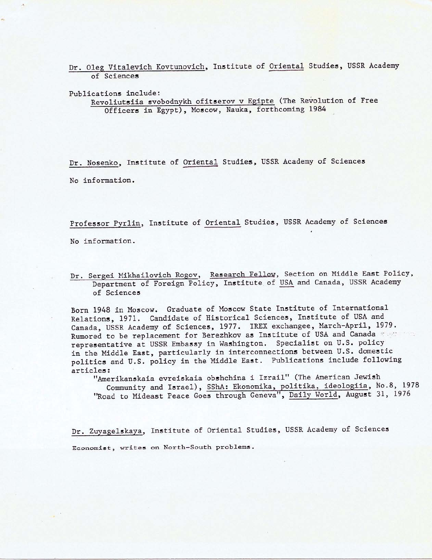Dr. Oleg Vitalevich Kovtunovich, Institute of Oriental Studies, USSR Academy of Sciences

Publications include:

Revoliutsiia svobodnykh ofitserov v Egipte (The Revolution of Free Officers in Egypt), **Moscow,** Nauka, forthcoming 1984

Dr. Nosenko, Institute of Oriental Studies, USSR Academy of Sciences No information.

Professor Pyrlin, Institute of Oriental Studies, USSR Academy of Sciences

No information.

Dr. Sergei Mikhailovich Rogov, Research Fellow, Section on Middle East Policy, Department of Foreign Policy, Institute of USA and Canada, USSR Academy of Sciences

Born 1948 in Moscow. Graduate of Moscow State Institute of International Relations, 1971. Candidate of Historical Sciences, Institute of USA and Canada, USSR Academy of Sciences, 1977. IREX exchangee, March-April, 1979. Rumored to be replacement for Berezhkov as Institute of USA and Canada :: representative at USSR Embassy in Washington. Specialist on U. S. policy in the Middle East, particularly in interconnections between U.S. domestic politics and U.S. policy in the Middle East. Publications include following articles:

"Amerikanskaia evreiskaia obshchina i Izrail" (The American Jewish Community and Israel), SShA: Ekonomika, politika, ideologiia, No.8, 1978 "Road to Mideast Peace Goes through Geneva", Daily World, August 31, 1976

Dr. Zuyagelskaya, Institute of Oriental Studies, USSR Academy of Sciences Economist, writes on North-South problems.